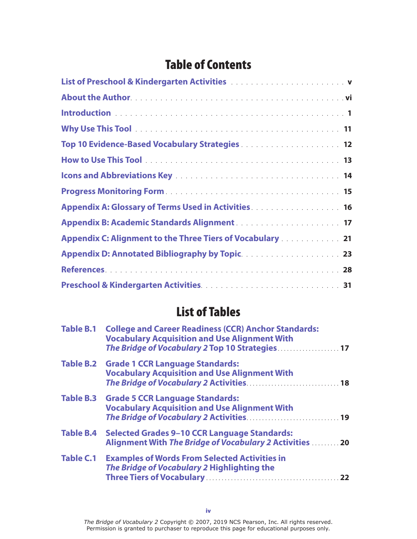## Table of Contents

| List of Preschool & Kindergarten Activities [11] Albert 2014 The State Lines and The Lines and The Lines and T                                                                                             |
|------------------------------------------------------------------------------------------------------------------------------------------------------------------------------------------------------------|
|                                                                                                                                                                                                            |
|                                                                                                                                                                                                            |
|                                                                                                                                                                                                            |
| Top 10 Evidence-Based Vocabulary Strategies  12                                                                                                                                                            |
|                                                                                                                                                                                                            |
|                                                                                                                                                                                                            |
|                                                                                                                                                                                                            |
| Appendix A: Glossary of Terms Used in Activities <b>Activities Activities Activities Activities Activities Activities Activities Activities Activities Activities Activities Activities Activities Act</b> |
|                                                                                                                                                                                                            |
| Appendix C: Alignment to the Three Tiers of Vocabulary 21                                                                                                                                                  |
|                                                                                                                                                                                                            |
|                                                                                                                                                                                                            |
|                                                                                                                                                                                                            |

## List of Tables

|                  | Table B.1 College and Career Readiness (CCR) Anchor Standards:<br><b>Vocabulary Acquisition and Use Alignment With</b><br>The Bridge of Vocabulary 2 Top 10 Strategies 17 |  |  |
|------------------|---------------------------------------------------------------------------------------------------------------------------------------------------------------------------|--|--|
|                  | Table B.2 Grade 1 CCR Language Standards:<br><b>Vocabulary Acquisition and Use Alignment With</b>                                                                         |  |  |
|                  | Table B.3 Grade 5 CCR Language Standards:<br><b>Vocabulary Acquisition and Use Alignment With</b>                                                                         |  |  |
| <b>Table B.4</b> | <b>Selected Grades 9-10 CCR Language Standards:</b><br>Alignment With The Bridge of Vocabulary 2 Activities  20                                                           |  |  |
| <b>Table C.1</b> | <b>Examples of Words From Selected Activities in</b><br>The Bridge of Vocabulary 2 Highlighting the                                                                       |  |  |

*The Bridge of Vocabulary 2* Copyright © 2007, 2019 NCS Pearson, Inc. All rights reserved. Permission is granted to purchaser to reproduce this page for educational purposes only.